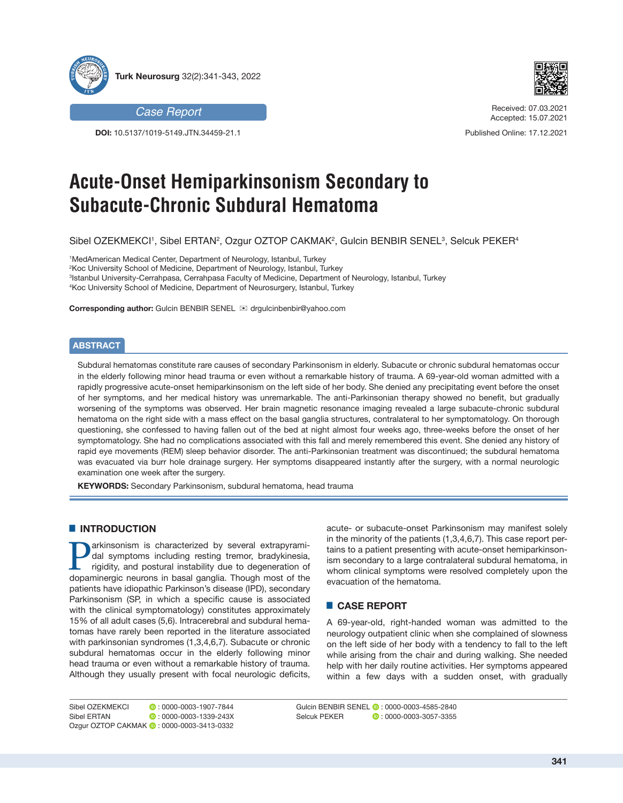



**DOI:** 10.5137/1019-5149.JTN.34459-21.1



Received: 07.03.2021 Accepted: 15.07.2021

Published Online: 17.12.2021

# **Acute-Onset Hemiparkinsonism Secondary to Subacute-Chronic Subdural Hematoma**

Sibel OZEKMEKCI', Sibel ERTAN², Ozgur OZTOP CAKMAK², Gulcin BENBIR SENEL<sup>3</sup>, Selcuk PEKER4

 MedAmerican Medical Center, Department of Neurology, Istanbul, Turkey Koc University School of Medicine, Department of Neurology, Istanbul, Turkey Istanbul University-Cerrahpasa, Cerrahpasa Faculty of Medicine, Department of Neurology, Istanbul, Turkey Koc University School of Medicine, Department of Neurosurgery, Istanbul, Turkey

**Corresponding author:** Gulcin BENBIR SENEL **⊠** drqulcinbenbir@yahoo.com

## **ABSTRACT**

Subdural hematomas constitute rare causes of secondary Parkinsonism in elderly. Subacute or chronic subdural hematomas occur in the elderly following minor head trauma or even without a remarkable history of trauma. A 69-year-old woman admitted with a rapidly progressive acute-onset hemiparkinsonism on the left side of her body. She denied any precipitating event before the onset of her symptoms, and her medical history was unremarkable. The anti-Parkinsonian therapy showed no benefit, but gradually worsening of the symptoms was observed. Her brain magnetic resonance imaging revealed a large subacute-chronic subdural hematoma on the right side with a mass effect on the basal ganglia structures, contralateral to her symptomatology. On thorough questioning, she confessed to having fallen out of the bed at night almost four weeks ago, three-weeks before the onset of her symptomatology. She had no complications associated with this fall and merely remembered this event. She denied any history of rapid eye movements (REM) sleep behavior disorder. The anti-Parkinsonian treatment was discontinued; the subdural hematoma was evacuated via burr hole drainage surgery. Her symptoms disappeared instantly after the surgery, with a normal neurologic examination one week after the surgery.

**KEYWORDS:** Secondary Parkinsonism, subdural hematoma, head trauma

## █ **INTRODUCTION**

arkinsonism is characterized by several extrapyramidal symptoms including resting tremor, bradykinesia, rigidity, and postural instability due to degeneration of dopaminergic neurons in basal ganglia. Though most of the patients have idiopathic Parkinson's disease (IPD), secondary Parkinsonism (SP, in which a specific cause is associated with the clinical symptomatology) constitutes approximately 15% of all adult cases (5,6). Intracerebral and subdural hematomas have rarely been reported in the literature associated with parkinsonian syndromes (1,3,4,6,7). Subacute or chronic subdural hematomas occur in the elderly following minor head trauma or even without a remarkable history of trauma. Although they usually present with focal neurologic deficits,

acute- or subacute-onset Parkinsonism may manifest solely in the minority of the patients (1,3,4,6,7). This case report pertains to a patient presenting with acute-onset hemiparkinsonism secondary to a large contralateral subdural hematoma, in whom clinical symptoms were resolved completely upon the evacuation of the hematoma.

# █ **CASE REPORT**

A 69-year-old, right-handed woman was admitted to the neurology outpatient clinic when she complained of slowness on the left side of her body with a tendency to fall to the left while arising from the chair and during walking. She needed help with her daily routine activities. Her symptoms appeared within a few days with a sudden onset, with gradually

Sibel OZEKMEKCI **b**: 0000-0003-1907-7844 Sibel ERTAN **0**: 0000-0003-1339-243X Ozgur OZTOP CAKMAK **: 0000-0003-3413-0332**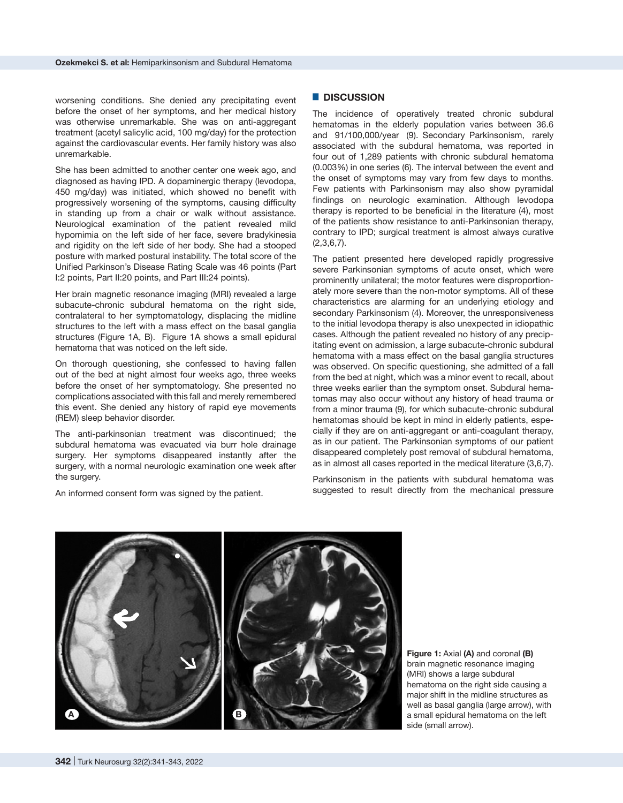worsening conditions. She denied any precipitating event before the onset of her symptoms, and her medical history was otherwise unremarkable. She was on anti-aggregant treatment (acetyl salicylic acid, 100 mg/day) for the protection against the cardiovascular events. Her family history was also unremarkable.

She has been admitted to another center one week ago, and diagnosed as having IPD. A dopaminergic therapy (levodopa, 450 mg/day) was initiated, which showed no benefit with progressively worsening of the symptoms, causing difficulty in standing up from a chair or walk without assistance. Neurological examination of the patient revealed mild hypomimia on the left side of her face, severe bradykinesia and rigidity on the left side of her body. She had a stooped posture with marked postural instability. The total score of the Unified Parkinson's Disease Rating Scale was 46 points (Part I:2 points, Part II:20 points, and Part III:24 points).

Her brain magnetic resonance imaging (MRI) revealed a large subacute-chronic subdural hematoma on the right side, contralateral to her symptomatology, displacing the midline structures to the left with a mass effect on the basal ganglia structures (Figure 1A, B). Figure 1A shows a small epidural hematoma that was noticed on the left side.

On thorough questioning, she confessed to having fallen out of the bed at night almost four weeks ago, three weeks before the onset of her symptomatology. She presented no complications associated with this fall and merely remembered this event. She denied any history of rapid eye movements (REM) sleep behavior disorder.

The anti-parkinsonian treatment was discontinued; the subdural hematoma was evacuated via burr hole drainage surgery. Her symptoms disappeared instantly after the surgery, with a normal neurologic examination one week after the surgery.

An informed consent form was signed by the patient.

#### █ **DISCUSSION**

The incidence of operatively treated chronic subdural hematomas in the elderly population varies between 36.6 and 91/100,000/year (9). Secondary Parkinsonism, rarely associated with the subdural hematoma, was reported in four out of 1,289 patients with chronic subdural hematoma (0.003%) in one series (6). The interval between the event and the onset of symptoms may vary from few days to months. Few patients with Parkinsonism may also show pyramidal findings on neurologic examination. Although levodopa therapy is reported to be beneficial in the literature (4), most of the patients show resistance to anti-Parkinsonian therapy, contrary to IPD; surgical treatment is almost always curative (2,3,6,7).

The patient presented here developed rapidly progressive severe Parkinsonian symptoms of acute onset, which were prominently unilateral; the motor features were disproportionately more severe than the non-motor symptoms. All of these characteristics are alarming for an underlying etiology and secondary Parkinsonism (4). Moreover, the unresponsiveness to the initial levodopa therapy is also unexpected in idiopathic cases. Although the patient revealed no history of any precipitating event on admission, a large subacute-chronic subdural hematoma with a mass effect on the basal ganglia structures was observed. On specific questioning, she admitted of a fall from the bed at night, which was a minor event to recall, about three weeks earlier than the symptom onset. Subdural hematomas may also occur without any history of head trauma or from a minor trauma (9), for which subacute-chronic subdural hematomas should be kept in mind in elderly patients, especially if they are on anti-aggregant or anti-coagulant therapy, as in our patient. The Parkinsonian symptoms of our patient disappeared completely post removal of subdural hematoma, as in almost all cases reported in the medical literature (3,6,7).

Parkinsonism in the patients with subdural hematoma was suggested to result directly from the mechanical pressure



**Figure 1:** Axial **(A)** and coronal **(B)** brain magnetic resonance imaging (MRI) shows a large subdural hematoma on the right side causing a major shift in the midline structures as well as basal ganglia (large arrow), with a small epidural hematoma on the left side (small arrow).